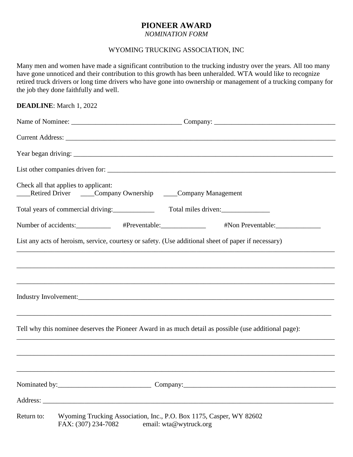## **PIONEER AWARD**

*NOMINATION FORM*

## WYOMING TRUCKING ASSOCIATION, INC

Many men and women have made a significant contribution to the trucking industry over the years. All too many have gone unnoticed and their contribution to this growth has been unheralded. WTA would like to recognize retired truck drivers or long time drivers who have gone into ownership or management of a trucking company for the job they done faithfully and well.

| <b>DEADLINE:</b> March 1, 2022 |                                                                                                                      |  |  |  |
|--------------------------------|----------------------------------------------------------------------------------------------------------------------|--|--|--|
|                                |                                                                                                                      |  |  |  |
|                                |                                                                                                                      |  |  |  |
|                                |                                                                                                                      |  |  |  |
|                                |                                                                                                                      |  |  |  |
|                                | Check all that applies to applicant:<br>_Retired Driver ______Company Ownership _____Company Management              |  |  |  |
|                                | Total years of commercial driving:<br>Total miles driven:                                                            |  |  |  |
|                                | Number of accidents: _____________ #Preventable: _____________                                                       |  |  |  |
|                                | List any acts of heroism, service, courtesy or safety. (Use additional sheet of paper if necessary)                  |  |  |  |
|                                |                                                                                                                      |  |  |  |
|                                |                                                                                                                      |  |  |  |
|                                |                                                                                                                      |  |  |  |
|                                |                                                                                                                      |  |  |  |
|                                | Tell why this nominee deserves the Pioneer Award in as much detail as possible (use additional page):                |  |  |  |
|                                |                                                                                                                      |  |  |  |
|                                |                                                                                                                      |  |  |  |
|                                |                                                                                                                      |  |  |  |
|                                |                                                                                                                      |  |  |  |
| Return to:                     | Wyoming Trucking Association, Inc., P.O. Box 1175, Casper, WY 82602<br>FAX: (307) 234-7082<br>email: wta@wytruck.org |  |  |  |